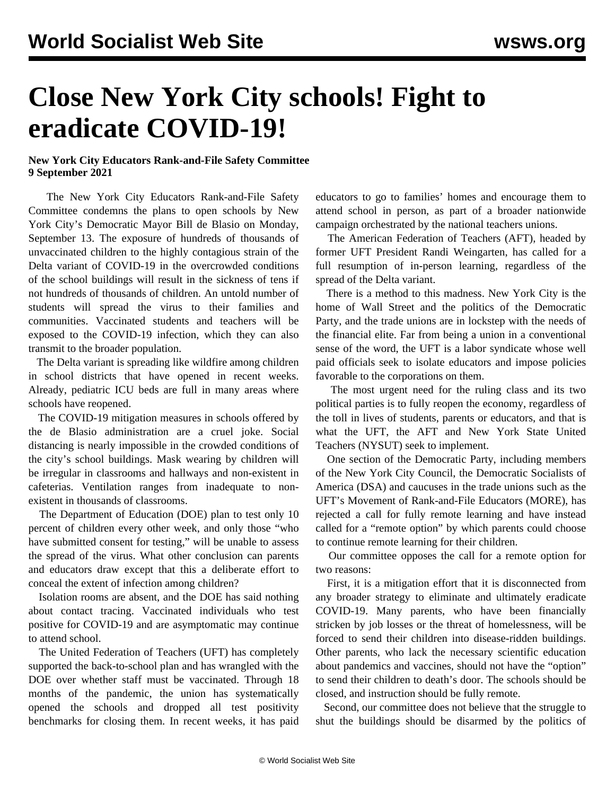## **Close New York City schools! Fight to eradicate COVID-19!**

## **New York City Educators Rank-and-File Safety Committee 9 September 2021**

 The New York City Educators Rank-and-File Safety Committee condemns the plans to open schools by New York City's Democratic Mayor Bill de Blasio on Monday, September 13. The exposure of hundreds of thousands of unvaccinated children to the highly contagious strain of the Delta variant of COVID-19 in the overcrowded conditions of the school buildings will result in the sickness of tens if not hundreds of thousands of children. An untold number of students will spread the virus to their families and communities. Vaccinated students and teachers will be exposed to the COVID-19 infection, which they can also transmit to the broader population.

 The Delta variant is spreading like wildfire among children in school districts that have opened in recent weeks. Already, pediatric ICU beds are full in many areas where schools have reopened.

 The COVID-19 mitigation measures in schools offered by the de Blasio administration are a cruel joke. Social distancing is nearly impossible in the crowded conditions of the city's school buildings. Mask wearing by children will be irregular in classrooms and hallways and non-existent in cafeterias. Ventilation ranges from inadequate to nonexistent in thousands of classrooms.

 The Department of Education (DOE) plan to test only 10 percent of children every other week, and only those "who have submitted consent for testing," will be unable to assess the spread of the virus. What other conclusion can parents and educators draw except that this a deliberate effort to conceal the extent of infection among children?

 Isolation rooms are absent, and the DOE has said nothing about contact tracing. Vaccinated individuals who test positive for COVID-19 and are asymptomatic may continue to attend school.

 The United Federation of Teachers (UFT) has completely supported the back-to-school plan and has wrangled with the DOE over whether staff must be vaccinated. Through 18 months of the pandemic, the union has systematically opened the schools and dropped all test positivity benchmarks for closing them. In recent weeks, it has paid educators to go to families' homes and encourage them to attend school in person, as part of a broader nationwide campaign orchestrated by the national teachers unions.

 The American Federation of Teachers (AFT), headed by former UFT President Randi Weingarten, has called for a full resumption of in-person learning, regardless of the spread of the Delta variant.

 There is a method to this madness. New York City is the home of Wall Street and the politics of the Democratic Party, and the trade unions are in lockstep with the needs of the financial elite. Far from being a union in a conventional sense of the word, the UFT is a labor syndicate whose well paid officials seek to isolate educators and impose policies favorable to the corporations on them.

 The most urgent need for the ruling class and its two political parties is to fully reopen the economy, regardless of the toll in lives of students, parents or educators, and that is what the UFT, the AFT and New York State United Teachers (NYSUT) seek to implement.

 One section of the Democratic Party, including members of the New York City Council, the Democratic Socialists of America (DSA) and caucuses in the trade unions such as the UFT's Movement of Rank-and-File Educators (MORE), has rejected a call for fully remote learning and have instead called for a "remote option" by which parents could choose to continue remote learning for their children.

 Our committee opposes the call for a remote option for two reasons:

 First, it is a mitigation effort that it is disconnected from any broader strategy to eliminate and ultimately eradicate COVID-19. Many parents, who have been financially stricken by job losses or the threat of homelessness, will be forced to send their children into disease-ridden buildings. Other parents, who lack the necessary scientific education about pandemics and vaccines, should not have the "option" to send their children to death's door. The schools should be closed, and instruction should be fully remote.

 Second, our committee does not believe that the struggle to shut the buildings should be disarmed by the politics of